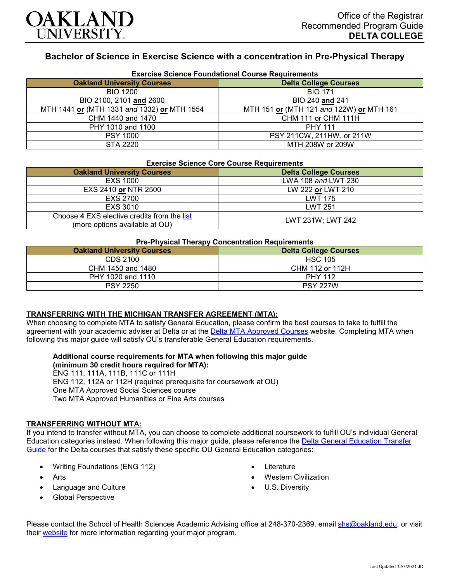

# **Bachelor of Science in Exercise Science with a concentration in Pre-Physical Therapy**

| <b>Exercise Science Foundational Course Requirements</b> |                                          |
|----------------------------------------------------------|------------------------------------------|
| <b>Oakland University Courses</b>                        | <b>Delta College Courses</b>             |
| <b>BIO 1200</b>                                          | <b>BIO 171</b>                           |
| BIO 2100, 2101 and 2600                                  | BIO 240 and 241                          |
| MTH 1441 or (MTH 1331 and 1332) or MTH 1554              | MTH 151 or (MTH 121 and 122W) or MTH 161 |
| CHM 1440 and 1470                                        | CHM 111 or CHM 111H                      |
| PHY 1010 and 1100                                        | <b>PHY 111</b>                           |
| <b>PSY 1000</b>                                          | PSY 211CW, 211HW, or 211W                |
| STA 2220                                                 | MTH 208W or 209W                         |

# **Exercise Science Core Course Requirements**

| Exercise Science Core Course Requirements                                     |                              |  |
|-------------------------------------------------------------------------------|------------------------------|--|
| <b>Oakland University Courses</b>                                             | <b>Delta College Courses</b> |  |
| EXS 1000                                                                      | LWA 108 and LWT 230          |  |
| EXS 2410 or NTR 2500                                                          | LW 222 or LWT 210            |  |
| <b>EXS 2700</b>                                                               | <b>LWT 175</b>               |  |
| EXS 3010                                                                      | <b>LWT 251</b>               |  |
| Choose 4 EXS elective credits from the list<br>(more options available at OU) | LWT 231W: LWT 242            |  |

### **Pre-Physical Therapy Concentration Requirements**

| .<br><b>Delta College Courses</b><br><b>Oakland University Courses</b> |                 |
|------------------------------------------------------------------------|-----------------|
| CDS 2100                                                               | <b>HSC 105</b>  |
| CHM 1450 and 1480                                                      | CHM 112 or 112H |
| PHY 1020 and 1110                                                      | <b>PHY 112</b>  |
| <b>PSY 2250</b>                                                        | <b>PSY 227W</b> |

#### **TRANSFERRING WITH THE MICHIGAN TRANSFER AGREEMENT (MTA):**

When choosing to complete MTA to satisfy General Education, please confirm the best courses to take to fulfill the agreement with your academic adviser at Delta or at the [Delta MTA Approved Courses](http://catalog.delta.edu/content.php?catoid=11&navoid=1451) website. Completing MTA when following this major guide will satisfy OU's transferable General Education requirements.

#### **Additional course requirements for MTA when following this major guide (minimum 30 credit hours required for MTA):**

ENG 111, 111A, 111B, 111C or 111H

- ENG 112, 112A or 112H (required prerequisite for coursework at OU)
- One MTA Approved Social Sciences course

Two MTA Approved Humanities or Fine Arts courses

## **TRANSFERRING WITHOUT MTA:**

If you intend to transfer without MTA, you can choose to complete additional coursework to fulfill OU's individual General Education categories instead. When following this major guide, please reference the [Delta General Education Transfer](https://www.oakland.edu/Assets/Oakland/program-guides/delta-college/university-general-education-requirements/Delta%20Gen%20Ed.pdf)  [Guide](https://www.oakland.edu/Assets/Oakland/program-guides/delta-college/university-general-education-requirements/Delta%20Gen%20Ed.pdf) for the Delta courses that satisfy these specific OU General Education categories:

- Writing Foundations (ENG 112)
- **Arts**
- Language and Culture
- Global Perspective
- Literature
- Western Civilization
- U.S. Diversity

Please contact the School of Health Sciences Academic Advising office at 248-370-2369, email [shs@oakland.edu,](mailto:shs@oakland.edu) or visit their [website](http://www.oakland.edu/shs/advising) for more information regarding your major program.